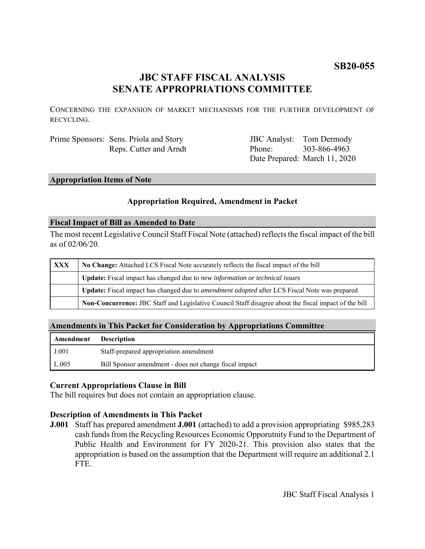# **SB20-055**

## **JBC STAFF FISCAL ANALYSIS SENATE APPROPRIATIONS COMMITTEE**

CONCERNING THE EXPANSION OF MARKET MECHANISMS FOR THE FURTHER DEVELOPMENT OF RECYCLING.

Prime Sponsors: Sens. Priola and Story Reps. Cutter and Arndt

JBC Analyst: Tom Dermody Phone: Date Prepared: March 11, 2020 303-866-4963

## **Appropriation Items of Note**

## **Appropriation Required, Amendment in Packet**

#### **Fiscal Impact of Bill as Amended to Date**

The most recent Legislative Council Staff Fiscal Note (attached) reflects the fiscal impact of the bill as of 02/06/20.

| <b>XXX</b> | No Change: Attached LCS Fiscal Note accurately reflects the fiscal impact of the bill                 |
|------------|-------------------------------------------------------------------------------------------------------|
|            | <b>Update:</b> Fiscal impact has changed due to new information or technical issues                   |
|            | Update: Fiscal impact has changed due to <i>amendment adopted</i> after LCS Fiscal Note was prepared  |
|            | Non-Concurrence: JBC Staff and Legislative Council Staff disagree about the fiscal impact of the bill |

## **Amendments in This Packet for Consideration by Appropriations Committee**

| Amendment | <b>Description</b>                                     |
|-----------|--------------------------------------------------------|
| J.001     | Staff-prepared appropriation amendment                 |
| L.005     | Bill Sponsor amendment - does not change fiscal impact |

#### **Current Appropriations Clause in Bill**

The bill requires but does not contain an appropriation clause.

## **Description of Amendments in This Packet**

**J.001** Staff has prepared amendment **J.001** (attached) to add a provision appropriating \$985,283 cash funds from the Recycling Resources Economic Opporutnity Fund to the Department of Public Health and Environment for FY 2020-21. This provision also states that the appropriation is based on the assumption that the Department will require an additional 2.1 FTE.